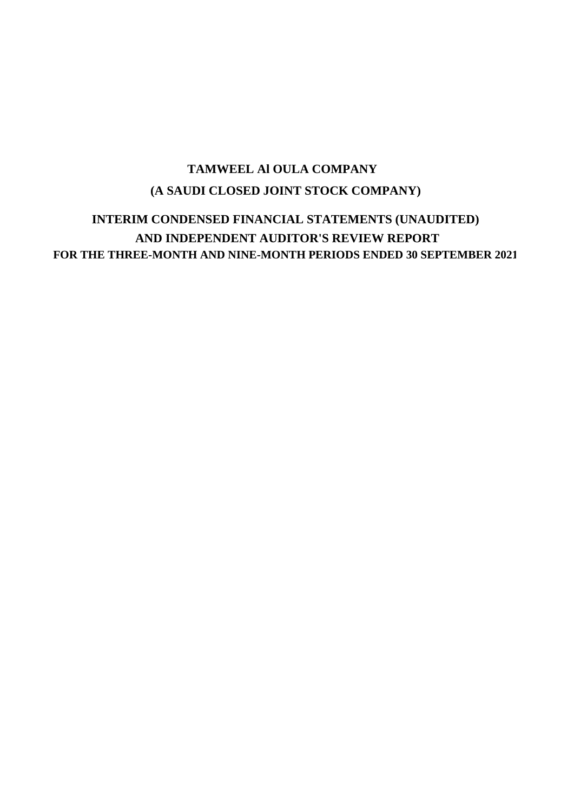# **(A SAUDI CLOSED JOINT STOCK COMPANY) TAMWEEL Al OULA COMPANY**

# **INTERIM CONDENSED FINANCIAL STATEMENTS (UNAUDITED) AND INDEPENDENT AUDITOR'S REVIEW REPORT FOR THE THREE-MONTH AND NINE-MONTH PERIODS ENDED 30 SEPTEMBER 2021**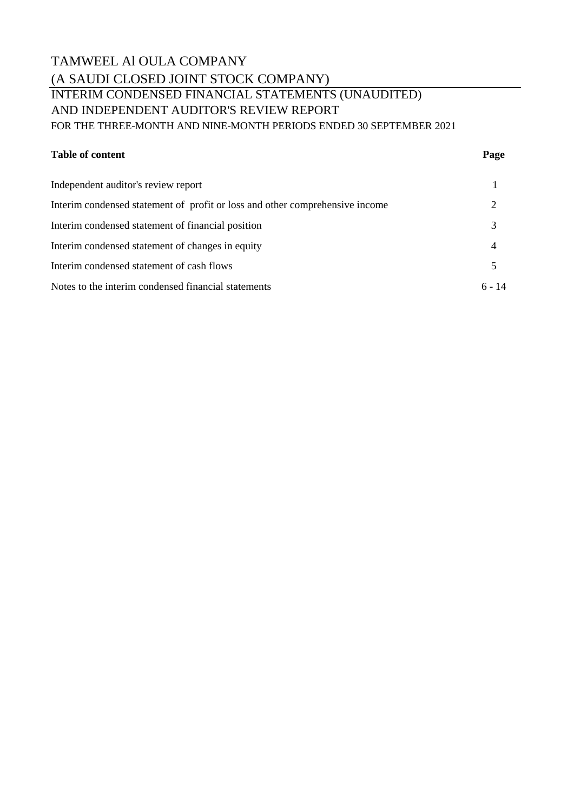# TAMWEEL Al OULA COMPANY (A SAUDI CLOSED JOINT STOCK COMPANY)

### INTERIM CONDENSED FINANCIAL STATEMENTS (UNAUDITED) AND INDEPENDENT AUDITOR'S REVIEW REPORT FOR THE THREE-MONTH AND NINE-MONTH PERIODS ENDED 30 SEPTEMBER 2021

### **Table of content Page**

| Independent auditor's review report                                          |          |
|------------------------------------------------------------------------------|----------|
| Interim condensed statement of profit or loss and other comprehensive income |          |
| Interim condensed statement of financial position                            |          |
| Interim condensed statement of changes in equity                             | 4        |
| Interim condensed statement of cash flows                                    |          |
| Notes to the interim condensed financial statements                          | $6 - 14$ |
|                                                                              |          |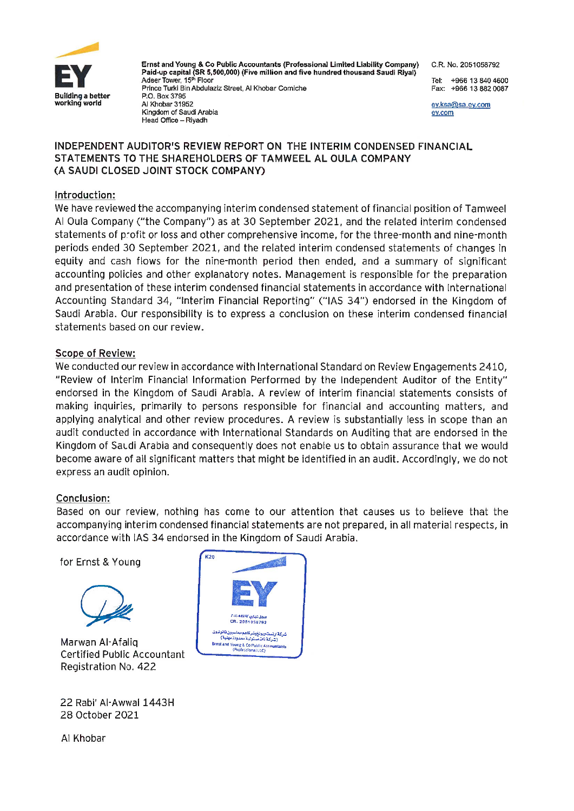

Ernst and Young & Co Public Accountants (Professional Limited Liability Company) Paid-up capital (SR 5,500,000) (Five million and five hundred thousand Saudi Riyal) Adeer Tower, 15<sup>th</sup> Floor Prince Turki Bin Abdulaziz Street. Al Khobar Corniche P.O. Box 3795 Al Khobar 31952 Kingdom of Saudi Arabia Head Office - Rivadh

C.R. No. 2051058792

+966 13 840 4600 Tel: Fax: +966 13 882 0087

ev.ksa@sa.ev.com ev.com

### INDEPENDENT AUDITOR'S REVIEW REPORT ON THE INTERIM CONDENSED FINANCIAL STATEMENTS TO THE SHAREHOLDERS OF TAMWEEL AL OULA COMPANY (A SAUDI CLOSED JOINT STOCK COMPANY)

### Introduction:

We have reviewed the accompanying interim condensed statement of financial position of Tamweel Al Oula Company ("the Company") as at 30 September 2021, and the related interim condensed statements of profit or loss and other comprehensive income, for the three-month and nine-month periods ended 30 September 2021, and the related interim condensed statements of changes in equity and cash flows for the nine-month period then ended, and a summary of significant accounting policies and other explanatory notes. Management is responsible for the preparation and presentation of these interim condensed financial statements in accordance with International Accounting Standard 34, "Interim Financial Reporting" ("IAS 34") endorsed in the Kingdom of Saudi Arabia. Our responsibility is to express a conclusion on these interim condensed financial statements based on our review.

### **Scope of Review:**

We conducted our review in accordance with International Standard on Review Engagements 2410, "Review of Interim Financial Information Performed by the Independent Auditor of the Entity" endorsed in the Kingdom of Saudi Arabia. A review of interim financial statements consists of making inquiries, primarily to persons responsible for financial and accounting matters, and applying analytical and other review procedures. A review is substantially less in scope than an audit conducted in accordance with International Standards on Auditing that are endorsed in the Kingdom of Saudi Arabia and consequently does not enable us to obtain assurance that we would become aware of all significant matters that might be identified in an audit. Accordingly, we do not express an audit opinion.

### Conclusion:

Based on our review, nothing has come to our attention that causes us to believe that the accompanying interim condensed financial statements are not prepared, in all material respects, in accordance with IAS 34 endorsed in the Kingdom of Saudi Arabia.

for Ernst & Young



Marwan Al-Afalig **Certified Public Accountant** Registration No. 422

22 Rabi' Al-Awwal 1443H 28 October 2021

Al Khobar

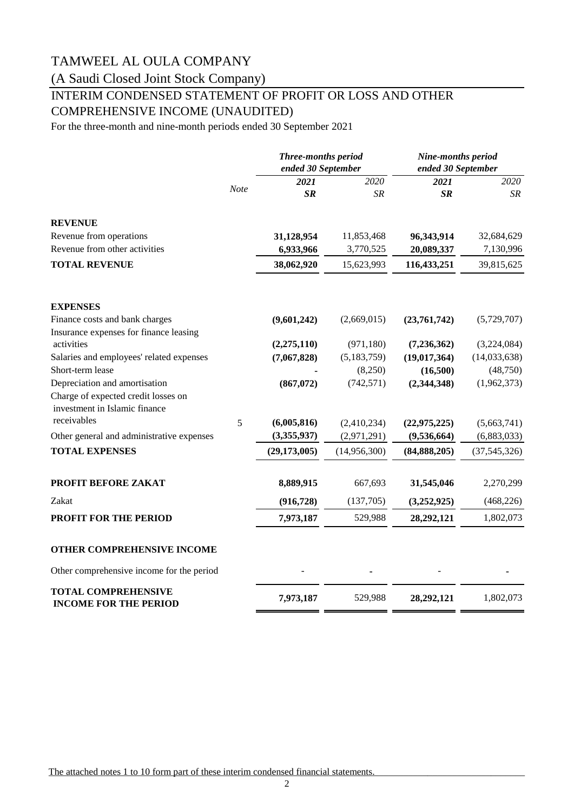## (A Saudi Closed Joint Stock Company)

## INTERIM CONDENSED STATEMENT OF PROFIT OR LOSS AND OTHER COMPREHENSIVE INCOME (UNAUDITED)

For the three-month and nine-month periods ended 30 September 2021

|                                                                      |      | Three-months period<br>ended 30 September |              | Nine-months period<br>ended 30 September |                |
|----------------------------------------------------------------------|------|-------------------------------------------|--------------|------------------------------------------|----------------|
|                                                                      | Note | 2021<br>SR                                | 2020<br>SR   | 2021<br>SR                               | 2020<br>SR     |
| <b>REVENUE</b>                                                       |      |                                           |              |                                          |                |
| Revenue from operations                                              |      | 31,128,954                                | 11,853,468   | 96,343,914                               | 32,684,629     |
| Revenue from other activities                                        |      | 6,933,966                                 | 3,770,525    | 20,089,337                               | 7,130,996      |
| <b>TOTAL REVENUE</b>                                                 |      | 38,062,920                                | 15,623,993   | 116,433,251                              | 39,815,625     |
| <b>EXPENSES</b>                                                      |      |                                           |              |                                          |                |
| Finance costs and bank charges                                       |      | (9,601,242)                               | (2,669,015)  | (23,761,742)                             | (5,729,707)    |
| Insurance expenses for finance leasing                               |      |                                           |              |                                          |                |
| activities                                                           |      | (2,275,110)                               | (971, 180)   | (7, 236, 362)                            | (3,224,084)    |
| Salaries and employees' related expenses                             |      | (7,067,828)                               | (5,183,759)  | (19, 017, 364)                           | (14,033,638)   |
| Short-term lease                                                     |      |                                           | (8,250)      | (16,500)                                 | (48,750)       |
| Depreciation and amortisation                                        |      | (867,072)                                 | (742, 571)   | (2,344,348)                              | (1,962,373)    |
| Charge of expected credit losses on<br>investment in Islamic finance |      |                                           |              |                                          |                |
| receivables                                                          | 5    | (6,005,816)                               | (2,410,234)  | (22, 975, 225)                           | (5,663,741)    |
| Other general and administrative expenses                            |      | (3,355,937)                               | (2,971,291)  | (9,536,664)                              | (6,883,033)    |
| <b>TOTAL EXPENSES</b>                                                |      | (29, 173, 005)                            | (14,956,300) | (84, 888, 205)                           | (37, 545, 326) |
| PROFIT BEFORE ZAKAT                                                  |      | 8,889,915                                 | 667,693      | 31,545,046                               | 2,270,299      |
|                                                                      |      |                                           |              |                                          |                |
| Zakat                                                                |      | (916, 728)                                | (137,705)    | (3,252,925)                              | (468, 226)     |
| <b>PROFIT FOR THE PERIOD</b>                                         |      | 7,973,187                                 | 529,988      | 28,292,121                               | 1,802,073      |
| OTHER COMPREHENSIVE INCOME                                           |      |                                           |              |                                          |                |
| Other comprehensive income for the period                            |      |                                           |              |                                          |                |
| <b>TOTAL COMPREHENSIVE</b><br><b>INCOME FOR THE PERIOD</b>           |      | 7,973,187                                 | 529,988      | 28,292,121                               | 1,802,073      |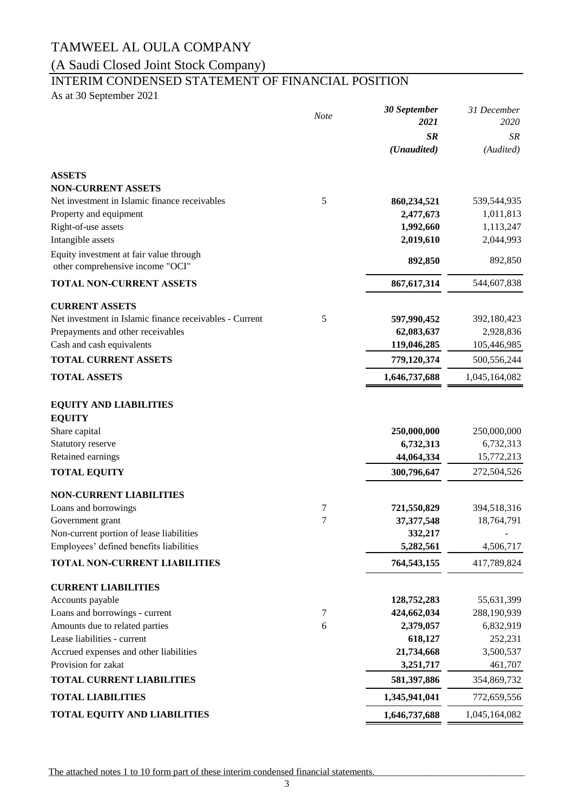# (A Saudi Closed Joint Stock Company)

# INTERIM CONDENSED STATEMENT OF FINANCIAL POSITION

As at 30 September 2021

|                                                                             |             | 30 September  | 31 December   |
|-----------------------------------------------------------------------------|-------------|---------------|---------------|
|                                                                             | <b>Note</b> | 2021          | 2020          |
|                                                                             |             | $S_{R}$       | ${\cal SR}$   |
|                                                                             |             | (Unaudited)   | (Audited)     |
| <b>ASSETS</b>                                                               |             |               |               |
| <b>NON-CURRENT ASSETS</b>                                                   |             |               |               |
| Net investment in Islamic finance receivables                               | 5           | 860,234,521   | 539,544,935   |
| Property and equipment                                                      |             | 2,477,673     | 1,011,813     |
| Right-of-use assets                                                         |             | 1,992,660     | 1,113,247     |
| Intangible assets                                                           |             | 2,019,610     | 2,044,993     |
| Equity investment at fair value through<br>other comprehensive income "OCI" |             | 892,850       | 892,850       |
| <b>TOTAL NON-CURRENT ASSETS</b>                                             |             | 867,617,314   | 544,607,838   |
| <b>CURRENT ASSETS</b>                                                       |             |               |               |
| Net investment in Islamic finance receivables - Current                     | 5           | 597,990,452   | 392,180,423   |
| Prepayments and other receivables                                           |             | 62,083,637    | 2,928,836     |
| Cash and cash equivalents                                                   |             | 119,046,285   | 105,446,985   |
| <b>TOTAL CURRENT ASSETS</b>                                                 |             | 779,120,374   | 500,556,244   |
| <b>TOTAL ASSETS</b>                                                         |             | 1,646,737,688 | 1,045,164,082 |
| <b>EQUITY AND LIABILITIES</b>                                               |             |               |               |
| <b>EQUITY</b>                                                               |             |               |               |
| Share capital                                                               |             | 250,000,000   | 250,000,000   |
| Statutory reserve                                                           |             | 6,732,313     | 6,732,313     |
| Retained earnings                                                           |             | 44,064,334    | 15,772,213    |
| <b>TOTAL EQUITY</b>                                                         |             | 300,796,647   | 272,504,526   |
| <b>NON-CURRENT LIABILITIES</b>                                              |             |               |               |
| Loans and borrowings                                                        | $\tau$      | 721,550,829   | 394,518,316   |
| Government grant                                                            | 7           | 37, 377, 548  | 18,764,791    |
| Non-current portion of lease liabilities                                    |             | 332,217       |               |
| Employees' defined benefits liabilities                                     |             | 5,282,561     | 4,506,717     |
| <b>TOTAL NON-CURRENT LIABILITIES</b>                                        |             | 764,543,155   | 417,789,824   |
| <b>CURRENT LIABILITIES</b>                                                  |             |               |               |
| Accounts payable                                                            |             | 128,752,283   | 55,631,399    |
| Loans and borrowings - current                                              | $\tau$      | 424,662,034   | 288,190,939   |
| Amounts due to related parties                                              | 6           | 2,379,057     | 6,832,919     |
| Lease liabilities - current                                                 |             | 618,127       | 252,231       |
| Accrued expenses and other liabilities                                      |             | 21,734,668    | 3,500,537     |
| Provision for zakat                                                         |             | 3,251,717     | 461,707       |
| <b>TOTAL CURRENT LIABILITIES</b>                                            |             | 581,397,886   | 354,869,732   |
| <b>TOTAL LIABILITIES</b>                                                    |             | 1,345,941,041 | 772,659,556   |
| <b>TOTAL EQUITY AND LIABILITIES</b>                                         |             | 1,646,737,688 | 1,045,164,082 |

The attached notes 1 to 10 form part of these interim condensed financial statements.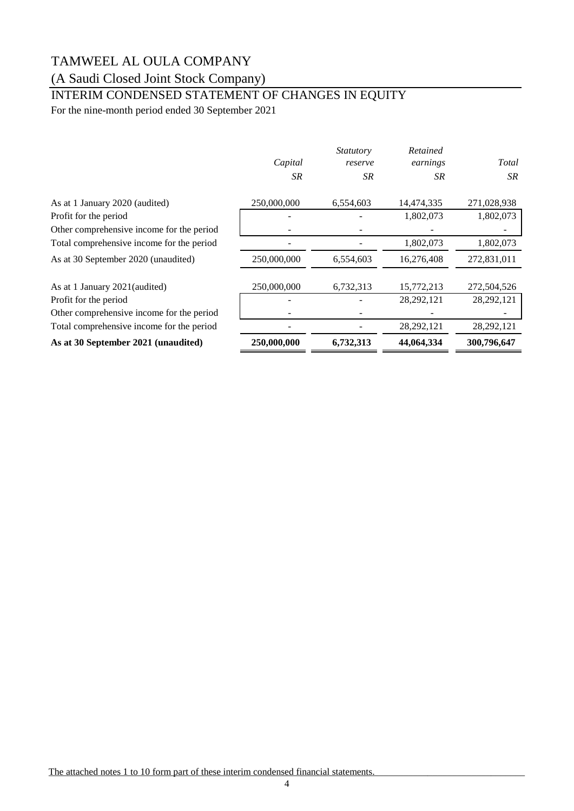# (A Saudi Closed Joint Stock Company)

# INTERIM CONDENSED STATEMENT OF CHANGES IN EQUITY

For the nine-month period ended 30 September 2021

|                                           |             | <i>Statutory</i> | Retained   |             |
|-------------------------------------------|-------------|------------------|------------|-------------|
|                                           | Capital     | reserve          | earnings   | Total       |
|                                           | SR.         | SR               | SR         | SR          |
| As at 1 January 2020 (audited)            | 250,000,000 | 6,554,603        | 14,474,335 | 271,028,938 |
| Profit for the period                     |             |                  | 1,802,073  | 1,802,073   |
| Other comprehensive income for the period |             |                  |            |             |
| Total comprehensive income for the period |             |                  | 1,802,073  | 1,802,073   |
| As at 30 September 2020 (unaudited)       | 250,000,000 | 6,554,603        | 16,276,408 | 272,831,011 |
| As at 1 January 2021 (audited)            | 250,000,000 | 6,732,313        | 15,772,213 | 272,504,526 |
| Profit for the period                     |             |                  | 28,292,121 | 28,292,121  |
| Other comprehensive income for the period |             |                  |            |             |
| Total comprehensive income for the period |             |                  | 28,292,121 | 28,292,121  |
| As at 30 September 2021 (unaudited)       | 250,000,000 | 6,732,313        | 44,064,334 | 300,796,647 |

The attached notes 1 to 10 form part of these interim condensed financial statements.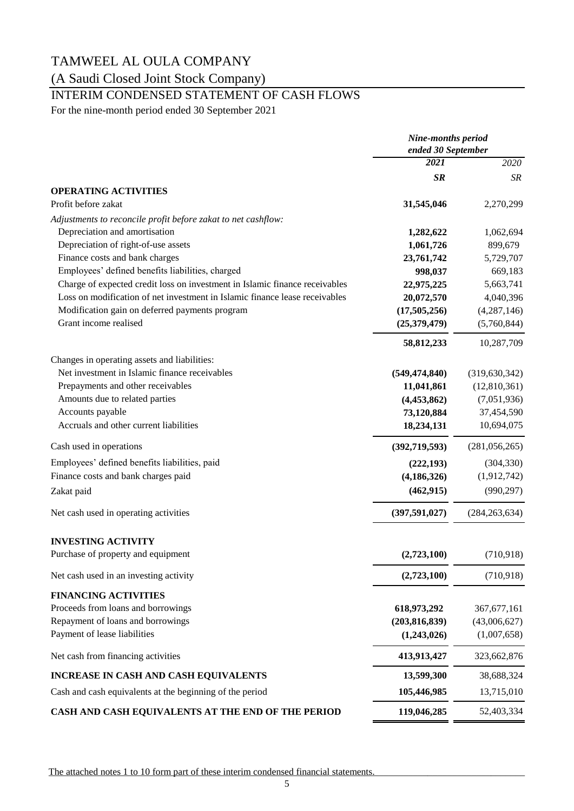### (A Saudi Closed Joint Stock Company)

## INTERIM CONDENSED STATEMENT OF CASH FLOWS

For the nine-month period ended 30 September 2021

|                                                                                                | <b>Nine-months period</b> |                 |
|------------------------------------------------------------------------------------------------|---------------------------|-----------------|
|                                                                                                | ended 30 September        |                 |
|                                                                                                | 2021                      | 2020            |
|                                                                                                | <b>SR</b>                 | SR              |
| <b>OPERATING ACTIVITIES</b><br>Profit before zakat                                             | 31,545,046                | 2,270,299       |
|                                                                                                |                           |                 |
| Adjustments to reconcile profit before zakat to net cashflow:<br>Depreciation and amortisation | 1,282,622                 | 1,062,694       |
| Depreciation of right-of-use assets                                                            | 1,061,726                 | 899,679         |
| Finance costs and bank charges                                                                 | 23,761,742                | 5,729,707       |
| Employees' defined benefits liabilities, charged                                               | 998,037                   | 669,183         |
| Charge of expected credit loss on investment in Islamic finance receivables                    |                           |                 |
| Loss on modification of net investment in Islamic finance lease receivables                    | 22,975,225                | 5,663,741       |
|                                                                                                | 20,072,570                | 4,040,396       |
| Modification gain on deferred payments program                                                 | (17,505,256)              | (4,287,146)     |
| Grant income realised                                                                          | (25,379,479)              | (5,760,844)     |
|                                                                                                | 58,812,233                | 10,287,709      |
| Changes in operating assets and liabilities:                                                   |                           |                 |
| Net investment in Islamic finance receivables                                                  | (549, 474, 840)           | (319, 630, 342) |
| Prepayments and other receivables                                                              | 11,041,861                | (12,810,361)    |
| Amounts due to related parties                                                                 | (4,453,862)               | (7,051,936)     |
| Accounts payable                                                                               | 73,120,884                | 37,454,590      |
| Accruals and other current liabilities                                                         | 18,234,131                | 10,694,075      |
| Cash used in operations                                                                        | (392,719,593)             | (281,056,265)   |
|                                                                                                |                           |                 |
| Employees' defined benefits liabilities, paid                                                  | (222, 193)                | (304, 330)      |
| Finance costs and bank charges paid                                                            | (4, 186, 326)             | (1,912,742)     |
| Zakat paid                                                                                     | (462, 915)                | (990, 297)      |
| Net cash used in operating activities                                                          | (397, 591, 027)           | (284, 263, 634) |
| <b>INVESTING ACTIVITY</b>                                                                      |                           |                 |
| Purchase of property and equipment                                                             | (2,723,100)               | (710, 918)      |
| Net cash used in an investing activity                                                         | (2,723,100)               | (710, 918)      |
| <b>FINANCING ACTIVITIES</b>                                                                    |                           |                 |
| Proceeds from loans and borrowings                                                             | 618,973,292               | 367, 677, 161   |
| Repayment of loans and borrowings                                                              | (203, 816, 839)           | (43,006,627)    |
| Payment of lease liabilities                                                                   | (1,243,026)               | (1,007,658)     |
| Net cash from financing activities                                                             | 413,913,427               | 323,662,876     |
| <b>INCREASE IN CASH AND CASH EQUIVALENTS</b>                                                   | 13,599,300                | 38,688,324      |
| Cash and cash equivalents at the beginning of the period                                       | 105,446,985               | 13,715,010      |
| CASH AND CASH EQUIVALENTS AT THE END OF THE PERIOD                                             | 119,046,285               | 52,403,334      |

The attached notes 1 to 10 form part of these interim condensed financial statements.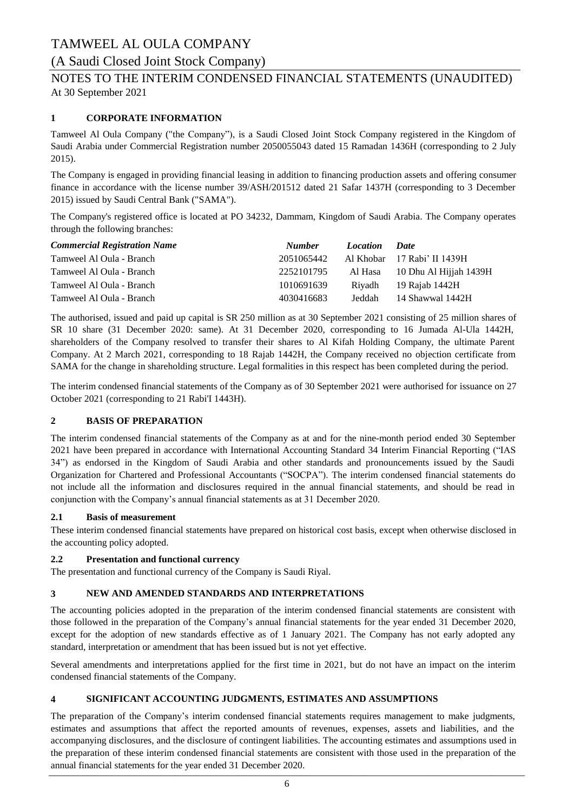### (A Saudi Closed Joint Stock Company)

### At 30 September 2021 NOTES TO THE INTERIM CONDENSED FINANCIAL STATEMENTS (UNAUDITED)

### **1 CORPORATE INFORMATION**

Tamweel Al Oula Company ("the Company"), is a Saudi Closed Joint Stock Company registered in the Kingdom of Saudi Arabia under Commercial Registration number 2050055043 dated 15 Ramadan 1436H (corresponding to 2 July 2015).

The Company is engaged in providing financial leasing in addition to financing production assets and offering consumer finance in accordance with the license number 39/ASH/201512 dated 21 Safar 1437H (corresponding to 3 December 2015) issued by Saudi Central Bank ("SAMA").

The Company's registered office is located at PO 34232, Dammam, Kingdom of Saudi Arabia. The Company operates through the following branches:

| <b>Commercial Registration Name</b> | <b>Number</b> | <i>Location</i> | <b>Date</b>                 |
|-------------------------------------|---------------|-----------------|-----------------------------|
| Tamweel Al Oula - Branch            | 2051065442    |                 | Al Khobar 17 Rabi' II 1439H |
| Tamweel Al Oula - Branch            | 2252101795    | Al Hasa         | 10 Dhu Al Hijjah 1439H      |
| Tamweel Al Oula - Branch            | 1010691639    | Rivadh          | 19 Rajab 1442H              |
| Tamweel Al Oula - Branch            | 4030416683    | Jeddah          | 14 Shawwal 1442H            |

The authorised, issued and paid up capital is SR 250 million as at 30 September 2021 consisting of 25 million shares of SR 10 share (31 December 2020: same). At 31 December 2020, corresponding to 16 Jumada Al-Ula 1442H, shareholders of the Company resolved to transfer their shares to Al Kifah Holding Company, the ultimate Parent Company. At 2 March 2021, corresponding to 18 Rajab 1442H, the Company received no objection certificate from SAMA for the change in shareholding structure. Legal formalities in this respect has been completed during the period.

The interim condensed financial statements of the Company as of 30 September 2021 were authorised for issuance on 27 October 2021 (corresponding to 21 Rabi'I 1443H).

#### **2 BASIS OF PREPARATION**

The interim condensed financial statements of the Company as at and for the nine-month period ended 30 September 2021 have been prepared in accordance with International Accounting Standard 34 Interim Financial Reporting ("IAS 34") as endorsed in the Kingdom of Saudi Arabia and other standards and pronouncements issued by the Saudi Organization for Chartered and Professional Accountants ("SOCPA"). The interim condensed financial statements do not include all the information and disclosures required in the annual financial statements, and should be read in conjunction with the Company's annual financial statements as at 31 December 2020.

#### **2.1 Basis of measurement**

These interim condensed financial statements have prepared on historical cost basis, except when otherwise disclosed in the accounting policy adopted.

#### **2.2 Presentation and functional currency**

The presentation and functional currency of the Company is Saudi Riyal.

#### **3 NEW AND AMENDED STANDARDS AND INTERPRETATIONS**

The accounting policies adopted in the preparation of the interim condensed financial statements are consistent with those followed in the preparation of the Company's annual financial statements for the year ended 31 December 2020, except for the adoption of new standards effective as of 1 January 2021. The Company has not early adopted any standard, interpretation or amendment that has been issued but is not yet effective.

Several amendments and interpretations applied for the first time in 2021, but do not have an impact on the interim condensed financial statements of the Company.

#### **4 SIGNIFICANT ACCOUNTING JUDGMENTS, ESTIMATES AND ASSUMPTIONS**

The preparation of the Company's interim condensed financial statements requires management to make judgments, estimates and assumptions that affect the reported amounts of revenues, expenses, assets and liabilities, and the accompanying disclosures, and the disclosure of contingent liabilities. The accounting estimates and assumptions used in the preparation of these interim condensed financial statements are consistent with those used in the preparation of the annual financial statements for the year ended 31 December 2020.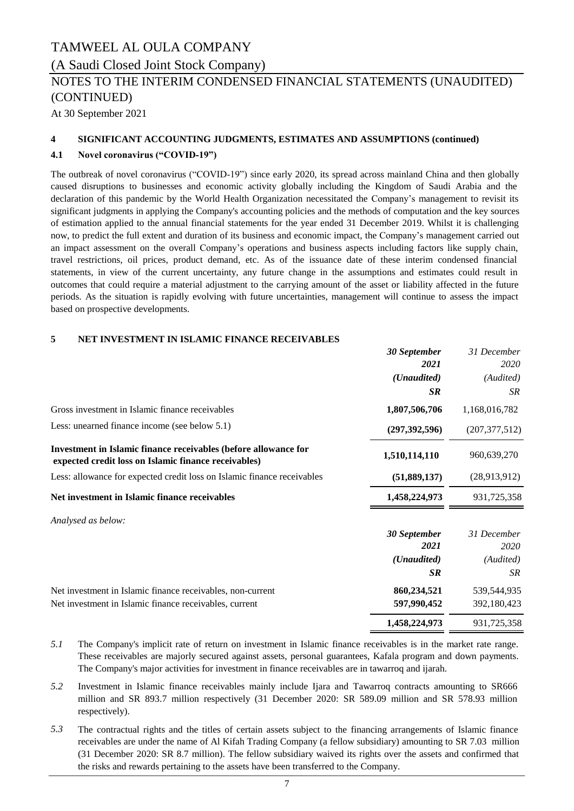(A Saudi Closed Joint Stock Company)

## NOTES TO THE INTERIM CONDENSED FINANCIAL STATEMENTS (UNAUDITED) (CONTINUED)

At 30 September 2021

#### **4 SIGNIFICANT ACCOUNTING JUDGMENTS, ESTIMATES AND ASSUMPTIONS (continued)**

#### **4.1 Novel coronavirus ("COVID-19")**

The outbreak of novel coronavirus ("COVID-19") since early 2020, its spread across mainland China and then globally caused disruptions to businesses and economic activity globally including the Kingdom of Saudi Arabia and the declaration of this pandemic by the World Health Organization necessitated the Company's management to revisit its significant judgments in applying the Company's accounting policies and the methods of computation and the key sources of estimation applied to the annual financial statements for the year ended 31 December 2019. Whilst it is challenging now, to predict the full extent and duration of its business and economic impact, the Company's management carried out an impact assessment on the overall Company's operations and business aspects including factors like supply chain, travel restrictions, oil prices, product demand, etc. As of the issuance date of these interim condensed financial statements, in view of the current uncertainty, any future change in the assumptions and estimates could result in outcomes that could require a material adjustment to the carrying amount of the asset or liability affected in the future periods. As the situation is rapidly evolving with future uncertainties, management will continue to assess the impact based on prospective developments.

#### **5 NET INVESTMENT IN ISLAMIC FINANCE RECEIVABLES**

|                                                                                                                         | 30 September         | 31 December     |
|-------------------------------------------------------------------------------------------------------------------------|----------------------|-----------------|
|                                                                                                                         | 2021                 | 2020            |
|                                                                                                                         | (Unaudited)          | (Audited)       |
|                                                                                                                         | <b>SR</b>            | <b>SR</b>       |
| Gross investment in Islamic finance receivables                                                                         | 1,807,506,706        | 1,168,016,782   |
| Less: unearned finance income (see below 5.1)                                                                           | (297, 392, 596)      | (207, 377, 512) |
| Investment in Islamic finance receivables (before allowance for<br>expected credit loss on Islamic finance receivables) | 1,510,114,110        | 960,639,270     |
| Less: allowance for expected credit loss on Islamic finance receivables                                                 | (51,889,137)         | (28,913,912)    |
| Net investment in Islamic finance receivables                                                                           | 1,458,224,973        | 931,725,358     |
| Analysed as below:                                                                                                      |                      |                 |
|                                                                                                                         | 30 September         | 31 December     |
|                                                                                                                         | 2021                 | 2020            |
|                                                                                                                         | ( <i>Unaudited</i> ) | (Audited)       |
|                                                                                                                         | <b>SR</b>            | SR              |
| Net investment in Islamic finance receivables, non-current                                                              | 860,234,521          | 539,544,935     |
| Net investment in Islamic finance receivables, current                                                                  | 597,990,452          | 392,180,423     |
|                                                                                                                         | 1,458,224,973        | 931,725,358     |

- *5.1* The Company's implicit rate of return on investment in Islamic finance receivables is in the market rate range. These receivables are majorly secured against assets, personal guarantees, Kafala program and down payments. The Company's major activities for investment in finance receivables are in tawarroq and ijarah.
- *5.2* Investment in Islamic finance receivables mainly include Ijara and Tawarroq contracts amounting to SR666 million and SR 893.7 million respectively (31 December 2020: SR 589.09 million and SR 578.93 million respectively).
- *5.3* The contractual rights and the titles of certain assets subject to the financing arrangements of Islamic finance receivables are under the name of Al Kifah Trading Company (a fellow subsidiary) amounting to SR 7.03 million (31 December 2020: SR 8.7 million). The fellow subsidiary waived its rights over the assets and confirmed that the risks and rewards pertaining to the assets have been transferred to the Company.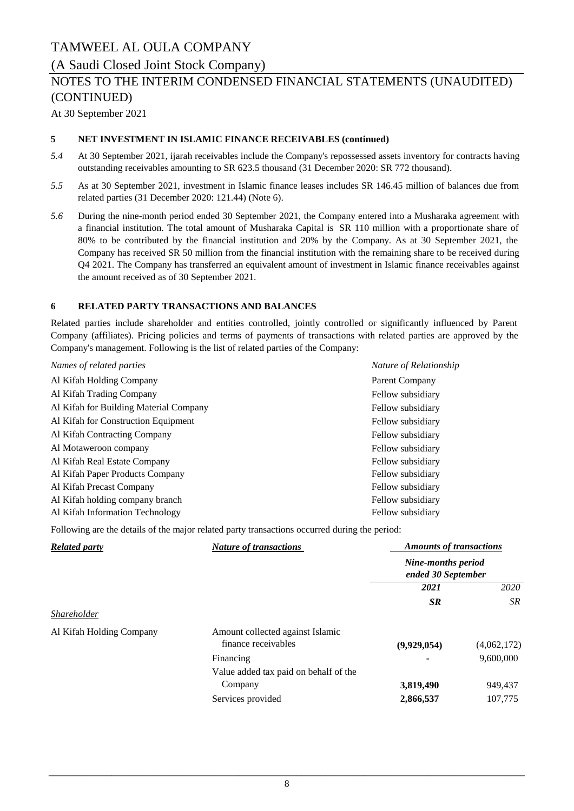(A Saudi Closed Joint Stock Company)

### NOTES TO THE INTERIM CONDENSED FINANCIAL STATEMENTS (UNAUDITED) (CONTINUED)

At 30 September 2021

#### **5 NET INVESTMENT IN ISLAMIC FINANCE RECEIVABLES (continued)**

- *5.4* At 30 September 2021, ijarah receivables include the Company's repossessed assets inventory for contracts having outstanding receivables amounting to SR 623.5 thousand (31 December 2020: SR 772 thousand).
- *5.5* As at 30 September 2021, investment in Islamic finance leases includes SR 146.45 million of balances due from related parties (31 December 2020: 121.44) (Note 6).
- *5.6* During the nine-month period ended 30 September 2021, the Company entered into a Musharaka agreement with a financial institution. The total amount of Musharaka Capital is SR 110 million with a proportionate share of 80% to be contributed by the financial institution and 20% by the Company. As at 30 September 2021, the Company has received SR 50 million from the financial institution with the remaining share to be received during Q4 2021. The Company has transferred an equivalent amount of investment in Islamic finance receivables against the amount received as of 30 September 2021.

#### **6 RELATED PARTY TRANSACTIONS AND BALANCES**

Related parties include shareholder and entities controlled, jointly controlled or significantly influenced by Parent Company (affiliates). Pricing policies and terms of payments of transactions with related parties are approved by the Company's management. Following is the list of related parties of the Company:

| Names of related parties               | Nature of Relationship |
|----------------------------------------|------------------------|
| Al Kifah Holding Company               | Parent Company         |
| Al Kifah Trading Company               | Fellow subsidiary      |
| Al Kifah for Building Material Company | Fellow subsidiary      |
| Al Kifah for Construction Equipment    | Fellow subsidiary      |
| Al Kifah Contracting Company           | Fellow subsidiary      |
| Al Motaweroon company                  | Fellow subsidiary      |
| Al Kifah Real Estate Company           | Fellow subsidiary      |
| Al Kifah Paper Products Company        | Fellow subsidiary      |
| Al Kifah Precast Company               | Fellow subsidiary      |
| Al Kifah holding company branch        | Fellow subsidiary      |
| Al Kifah Information Technology        | Fellow subsidiary      |

Following are the details of the major related party transactions occurred during the period:

| <b>Related party</b>     | <b>Nature of transactions</b>                           |                                          | <b>Amounts of transactions</b> |
|--------------------------|---------------------------------------------------------|------------------------------------------|--------------------------------|
|                          |                                                         | Nine-months period<br>ended 30 September |                                |
|                          |                                                         | 2021                                     | 2020                           |
|                          |                                                         | <b>SR</b>                                | <b>SR</b>                      |
| Shareholder              |                                                         |                                          |                                |
| Al Kifah Holding Company | Amount collected against Islamic<br>finance receivables | (9,929,054)                              | (4,062,172)                    |
|                          | Financing                                               |                                          | 9,600,000                      |
|                          | Value added tax paid on behalf of the                   |                                          |                                |
|                          | Company                                                 | 3,819,490                                | 949,437                        |
|                          | Services provided                                       | 2,866,537                                | 107,775                        |
|                          |                                                         |                                          |                                |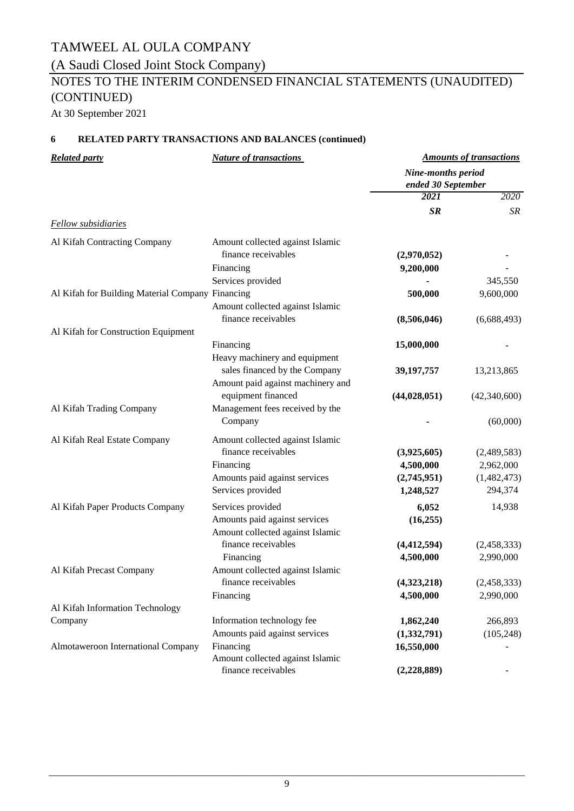(A Saudi Closed Joint Stock Company)

# NOTES TO THE INTERIM CONDENSED FINANCIAL STATEMENTS (UNAUDITED) (CONTINUED)

At 30 September 2021

### **6 RELATED PARTY TRANSACTIONS AND BALANCES (continued)**

| <b>Related party</b>                             | <b>Nature of transactions</b>     |                                          | <b>Amounts of transactions</b> |  |
|--------------------------------------------------|-----------------------------------|------------------------------------------|--------------------------------|--|
|                                                  |                                   | Nine-months period<br>ended 30 September |                                |  |
|                                                  |                                   | 2021                                     | 2020                           |  |
|                                                  |                                   | SR                                       | SR                             |  |
| <b>Fellow</b> subsidiaries                       |                                   |                                          |                                |  |
| Al Kifah Contracting Company                     | Amount collected against Islamic  |                                          |                                |  |
|                                                  | finance receivables               | (2,970,052)                              |                                |  |
|                                                  | Financing                         | 9,200,000                                |                                |  |
|                                                  | Services provided                 |                                          | 345,550                        |  |
| Al Kifah for Building Material Company Financing |                                   | 500,000                                  | 9,600,000                      |  |
|                                                  | Amount collected against Islamic  |                                          |                                |  |
|                                                  | finance receivables               | (8,506,046)                              | (6,688,493)                    |  |
| Al Kifah for Construction Equipment              |                                   |                                          |                                |  |
|                                                  | Financing                         | 15,000,000                               |                                |  |
|                                                  | Heavy machinery and equipment     |                                          |                                |  |
|                                                  | sales financed by the Company     | 39, 197, 757                             | 13,213,865                     |  |
|                                                  | Amount paid against machinery and |                                          |                                |  |
|                                                  | equipment financed                | (44, 028, 051)                           | (42,340,600)                   |  |
| Al Kifah Trading Company                         | Management fees received by the   |                                          |                                |  |
|                                                  | Company                           |                                          | (60,000)                       |  |
|                                                  |                                   |                                          |                                |  |
| Al Kifah Real Estate Company                     | Amount collected against Islamic  |                                          |                                |  |
|                                                  | finance receivables               | (3,925,605)                              | (2,489,583)                    |  |
|                                                  | Financing                         | 4,500,000                                | 2,962,000                      |  |
|                                                  | Amounts paid against services     | (2,745,951)                              | (1,482,473)                    |  |
|                                                  | Services provided                 | 1,248,527                                | 294,374                        |  |
| Al Kifah Paper Products Company                  | Services provided                 | 6,052                                    | 14,938                         |  |
|                                                  | Amounts paid against services     | (16, 255)                                |                                |  |
|                                                  | Amount collected against Islamic  |                                          |                                |  |
|                                                  | finance receivables               | (4, 412, 594)                            | (2,458,333)                    |  |
|                                                  | Financing                         | 4,500,000                                | 2,990,000                      |  |
| Al Kifah Precast Company                         | Amount collected against Islamic  |                                          |                                |  |
|                                                  | finance receivables               | (4,323,218)                              | (2,458,333)                    |  |
|                                                  | Financing                         | 4,500,000                                | 2,990,000                      |  |
| Al Kifah Information Technology                  |                                   |                                          |                                |  |
| Company                                          | Information technology fee        | 1,862,240                                | 266,893                        |  |
|                                                  | Amounts paid against services     | (1, 332, 791)                            | (105, 248)                     |  |
| Almotaweroon International Company               | Financing                         | 16,550,000                               |                                |  |
|                                                  | Amount collected against Islamic  |                                          |                                |  |
|                                                  | finance receivables               | (2,228,889)                              |                                |  |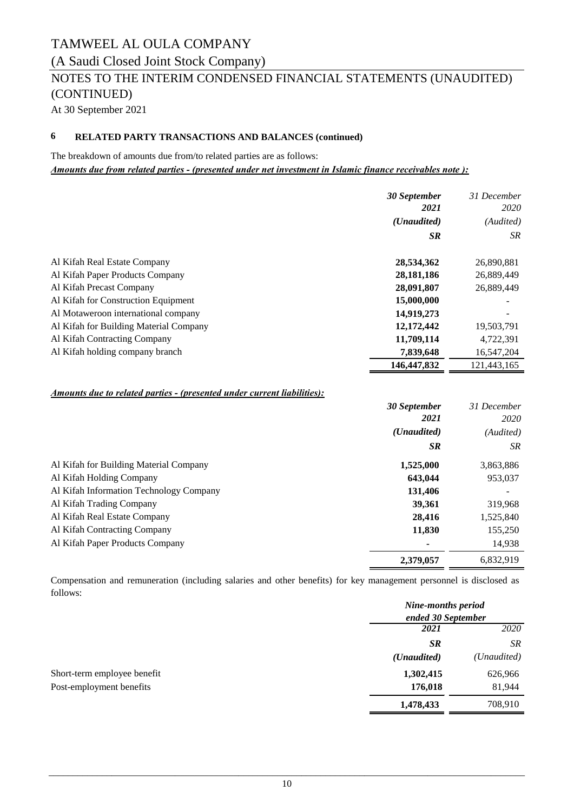### (A Saudi Closed Joint Stock Company)

### NOTES TO THE INTERIM CONDENSED FINANCIAL STATEMENTS (UNAUDITED) (CONTINUED)

At 30 September 2021

#### **6 RELATED PARTY TRANSACTIONS AND BALANCES (continued)**

The breakdown of amounts due from/to related parties are as follows:

*Amounts due from related parties ‑ (presented under net investment in Islamic finance receivables note ):*

|                                        | 30 September<br>2021 | 31 December<br>2020 |
|----------------------------------------|----------------------|---------------------|
|                                        | ( <i>Unaudited</i> ) | (Audited)           |
|                                        | <b>SR</b>            | SR                  |
| Al Kifah Real Estate Company           | 28,534,362           | 26,890,881          |
| Al Kifah Paper Products Company        | 28, 181, 186         | 26,889,449          |
| Al Kifah Precast Company               | 28,091,807           | 26,889,449          |
| Al Kifah for Construction Equipment    | 15,000,000           |                     |
| Al Motaweroon international company    | 14,919,273           |                     |
| Al Kifah for Building Material Company | 12, 172, 442         | 19,503,791          |
| Al Kifah Contracting Company           | 11,709,114           | 4,722,391           |
| Al Kifah holding company branch        | 7,839,648            | 16,547,204          |
|                                        | 146,447,832          | 121.443.165         |

#### *Amounts due to related parties ‑ (presented under current liabilities):*

|                                         | 30 September         | 31 December |
|-----------------------------------------|----------------------|-------------|
|                                         | 2021                 | 2020        |
|                                         | ( <i>Unaudited</i> ) | (Audited)   |
|                                         | <b>SR</b>            | SR.         |
| Al Kifah for Building Material Company  | 1,525,000            | 3,863,886   |
| Al Kifah Holding Company                | 643,044              | 953,037     |
| Al Kifah Information Technology Company | 131,406              |             |
| Al Kifah Trading Company                | 39,361               | 319,968     |
| Al Kifah Real Estate Company            | 28,416               | 1,525,840   |
| Al Kifah Contracting Company            | 11,830               | 155,250     |
| Al Kifah Paper Products Company         | ٠                    | 14,938      |
|                                         | 2,379,057            | 6,832,919   |

Compensation and remuneration (including salaries and other benefits) for key management personnel is disclosed as follows:

|                             | Nine-months period<br>ended 30 September |                      |
|-----------------------------|------------------------------------------|----------------------|
|                             | 2021                                     | 2020                 |
|                             | <b>SR</b>                                | <b>SR</b>            |
|                             | ( <i>Unaudited</i> )                     | ( <i>Unaudited</i> ) |
| Short-term employee benefit | 1,302,415                                | 626,966              |
| Post-employment benefits    | 176,018                                  | 81,944               |
|                             | 1,478,433                                | 708,910              |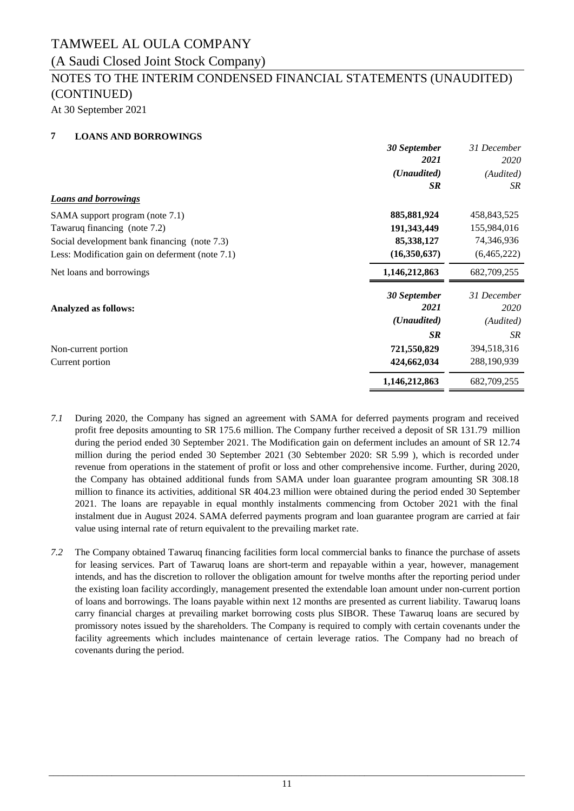### (A Saudi Closed Joint Stock Company)

## NOTES TO THE INTERIM CONDENSED FINANCIAL STATEMENTS (UNAUDITED) (CONTINUED)

At 30 September 2021

### **7 LOANS AND BORROWINGS**

|                                                 | 30 September  | 31 December |
|-------------------------------------------------|---------------|-------------|
|                                                 | 2021          | 2020        |
|                                                 | (Unaudited)   | (Audited)   |
|                                                 | <b>SR</b>     | <b>SR</b>   |
| <b>Loans and borrowings</b>                     |               |             |
| SAMA support program (note 7.1)                 | 885, 881, 924 | 458,843,525 |
| Tawaruq financing (note 7.2)                    | 191,343,449   | 155,984,016 |
| Social development bank financing (note 7.3)    | 85,338,127    | 74,346,936  |
| Less: Modification gain on deferment (note 7.1) | (16,350,637)  | (6,465,222) |
| Net loans and borrowings                        | 1,146,212,863 | 682,709,255 |
|                                                 | 30 September  | 31 December |
| <b>Analyzed as follows:</b>                     | 2021          | 2020        |
|                                                 | (Unaudited)   | (Audited)   |
|                                                 | <b>SR</b>     | SR          |
| Non-current portion                             | 721,550,829   | 394,518,316 |
| Current portion                                 | 424,662,034   | 288,190,939 |
|                                                 | 1,146,212,863 | 682,709,255 |

- *7.1* During 2020, the Company has signed an agreement with SAMA for deferred payments program and received profit free deposits amounting to SR 175.6 million. The Company further received a deposit of SR 131.79 million during the period ended 30 September 2021. The Modification gain on deferment includes an amount of SR 12.74 million during the period ended 30 September 2021 (30 Sebtember 2020: SR 5.99 ), which is recorded under revenue from operations in the statement of profit or loss and other comprehensive income. Further, during 2020, the Company has obtained additional funds from SAMA under loan guarantee program amounting SR 308.18 million to finance its activities, additional SR 404.23 million were obtained during the period ended 30 September 2021. The loans are repayable in equal monthly instalments commencing from October 2021 with the final instalment due in August 2024. SAMA deferred payments program and loan guarantee program are carried at fair value using internal rate of return equivalent to the prevailing market rate.
- *7.2* The Company obtained Tawaruq financing facilities form local commercial banks to finance the purchase of assets for leasing services. Part of Tawaruq loans are short-term and repayable within a year, however, management intends, and has the discretion to rollover the obligation amount for twelve months after the reporting period under the existing loan facility accordingly, management presented the extendable loan amount under non-current portion of loans and borrowings. The loans payable within next 12 months are presented as current liability. Tawaruq loans carry financial charges at prevailing market borrowing costs plus SIBOR. These Tawaruq loans are secured by promissory notes issued by the shareholders. The Company is required to comply with certain covenants under the facility agreements which includes maintenance of certain leverage ratios. The Company had no breach of covenants during the period.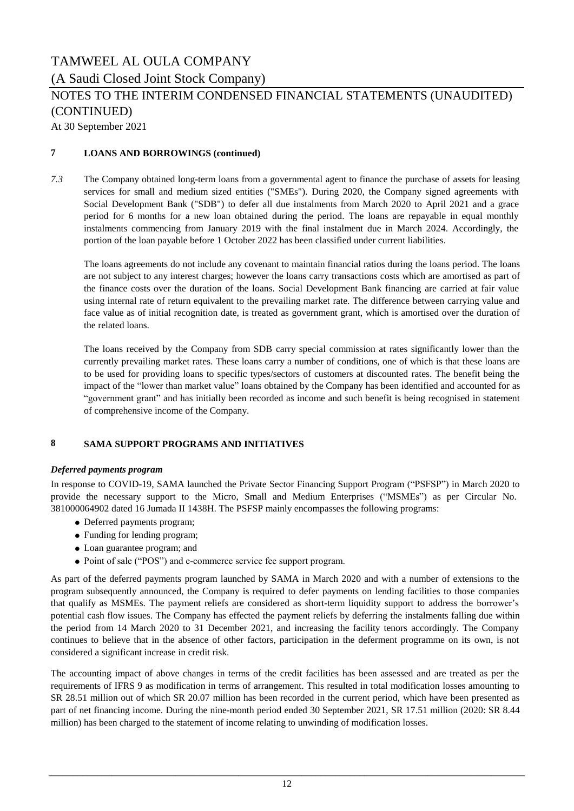### TAMWEEL AL OULA COMPANY (A Saudi Closed Joint Stock Company) At 30 September 2021 NOTES TO THE INTERIM CONDENSED FINANCIAL STATEMENTS (UNAUDITED) (CONTINUED)

#### **7 LOANS AND BORROWINGS (continued)**

*7.3* The Company obtained long-term loans from a governmental agent to finance the purchase of assets for leasing services for small and medium sized entities ("SMEs"). During 2020, the Company signed agreements with Social Development Bank ("SDB") to defer all due instalments from March 2020 to April 2021 and a grace period for 6 months for a new loan obtained during the period. The loans are repayable in equal monthly instalments commencing from January 2019 with the final instalment due in March 2024. Accordingly, the portion of the loan payable before 1 October 2022 has been classified under current liabilities.

The loans agreements do not include any covenant to maintain financial ratios during the loans period. The loans are not subject to any interest charges; however the loans carry transactions costs which are amortised as part of the finance costs over the duration of the loans. Social Development Bank financing are carried at fair value using internal rate of return equivalent to the prevailing market rate. The difference between carrying value and face value as of initial recognition date, is treated as government grant, which is amortised over the duration of the related loans.

The loans received by the Company from SDB carry special commission at rates significantly lower than the currently prevailing market rates. These loans carry a number of conditions, one of which is that these loans are to be used for providing loans to specific types/sectors of customers at discounted rates. The benefit being the impact of the "lower than market value" loans obtained by the Company has been identified and accounted for as "government grant" and has initially been recorded as income and such benefit is being recognised in statement of comprehensive income of the Company.

#### **8 SAMA SUPPORT PROGRAMS AND INITIATIVES**

#### *Deferred payments program*

In response to COVID-19, SAMA launched the Private Sector Financing Support Program ("PSFSP") in March 2020 to provide the necessary support to the Micro, Small and Medium Enterprises ("MSMEs") as per Circular No. 381000064902 dated 16 Jumada II 1438H. The PSFSP mainly encompasses the following programs:

- Deferred payments program;
- Funding for lending program;
- Loan guarantee program; and
- Point of sale ("POS") and e-commerce service fee support program.

As part of the deferred payments program launched by SAMA in March 2020 and with a number of extensions to the program subsequently announced, the Company is required to defer payments on lending facilities to those companies that qualify as MSMEs. The payment reliefs are considered as short-term liquidity support to address the borrower's potential cash flow issues. The Company has effected the payment reliefs by deferring the instalments falling due within the period from 14 March 2020 to 31 December 2021, and increasing the facility tenors accordingly. The Company continues to believe that in the absence of other factors, participation in the deferment programme on its own, is not considered a significant increase in credit risk.

The accounting impact of above changes in terms of the credit facilities has been assessed and are treated as per the requirements of IFRS 9 as modification in terms of arrangement. This resulted in total modification losses amounting to SR 28.51 million out of which SR 20.07 million has been recorded in the current period, which have been presented as part of net financing income. During the nine-month period ended 30 September 2021, SR 17.51 million (2020: SR 8.44 million) has been charged to the statement of income relating to unwinding of modification losses.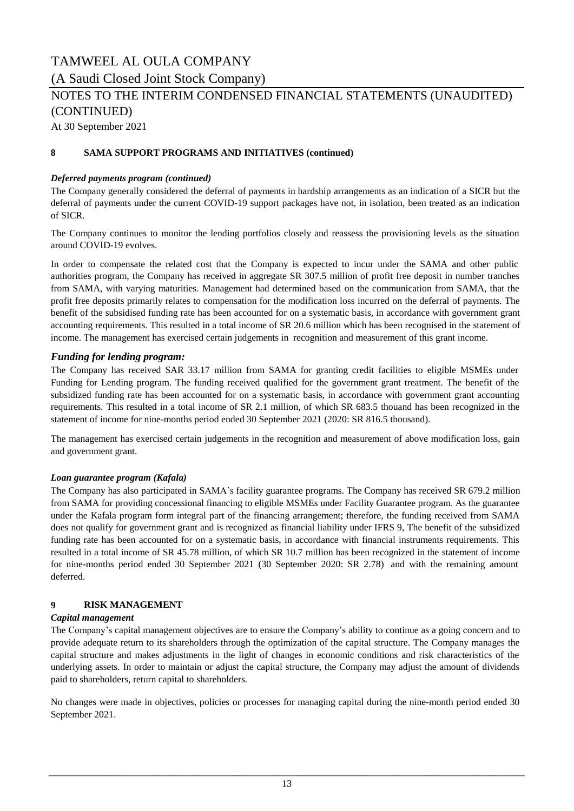### TAMWEEL AL OULA COMPANY (A Saudi Closed Joint Stock Company) At 30 September 2021 NOTES TO THE INTERIM CONDENSED FINANCIAL STATEMENTS (UNAUDITED) (CONTINUED)

#### **8 SAMA SUPPORT PROGRAMS AND INITIATIVES (continued)**

#### *Deferred payments program (continued)*

The Company generally considered the deferral of payments in hardship arrangements as an indication of a SICR but the deferral of payments under the current COVID-19 support packages have not, in isolation, been treated as an indication of SICR.

The Company continues to monitor the lending portfolios closely and reassess the provisioning levels as the situation around COVID-19 evolves.

In order to compensate the related cost that the Company is expected to incur under the SAMA and other public authorities program, the Company has received in aggregate SR 307.5 million of profit free deposit in number tranches from SAMA, with varying maturities. Management had determined based on the communication from SAMA, that the profit free deposits primarily relates to compensation for the modification loss incurred on the deferral of payments. The benefit of the subsidised funding rate has been accounted for on a systematic basis, in accordance with government grant accounting requirements. This resulted in a total income of SR 20.6 million which has been recognised in the statement of income. The management has exercised certain judgements in recognition and measurement of this grant income.

#### *Funding for lending program:*

The Company has received SAR 33.17 million from SAMA for granting credit facilities to eligible MSMEs under Funding for Lending program. The funding received qualified for the government grant treatment. The benefit of the subsidized funding rate has been accounted for on a systematic basis, in accordance with government grant accounting requirements. This resulted in a total income of SR 2.1 million, of which SR 683.5 thouand has been recognized in the statement of income for nine-months period ended 30 September 2021 (2020: SR 816.5 thousand).

The management has exercised certain judgements in the recognition and measurement of above modification loss, gain and government grant.

#### *Loan guarantee program (Kafala)*

The Company has also participated in SAMA's facility guarantee programs. The Company has received SR 679.2 million from SAMA for providing concessional financing to eligible MSMEs under Facility Guarantee program. As the guarantee under the Kafala program form integral part of the financing arrangement; therefore, the funding received from SAMA does not qualify for government grant and is recognized as financial liability under IFRS 9, The benefit of the subsidized funding rate has been accounted for on a systematic basis, in accordance with financial instruments requirements. This resulted in a total income of SR 45.78 million, of which SR 10.7 million has been recognized in the statement of income for nine-months period ended 30 September 2021 (30 September 2020: SR 2.78) and with the remaining amount deferred.

#### **9 RISK MANAGEMENT**

#### *Capital management*

The Company's capital management objectives are to ensure the Company's ability to continue as a going concern and to provide adequate return to its shareholders through the optimization of the capital structure. The Company manages the capital structure and makes adjustments in the light of changes in economic conditions and risk characteristics of the underlying assets. In order to maintain or adjust the capital structure, the Company may adjust the amount of dividends paid to shareholders, return capital to shareholders.

No changes were made in objectives, policies or processes for managing capital during the nine-month period ended 30 September 2021.